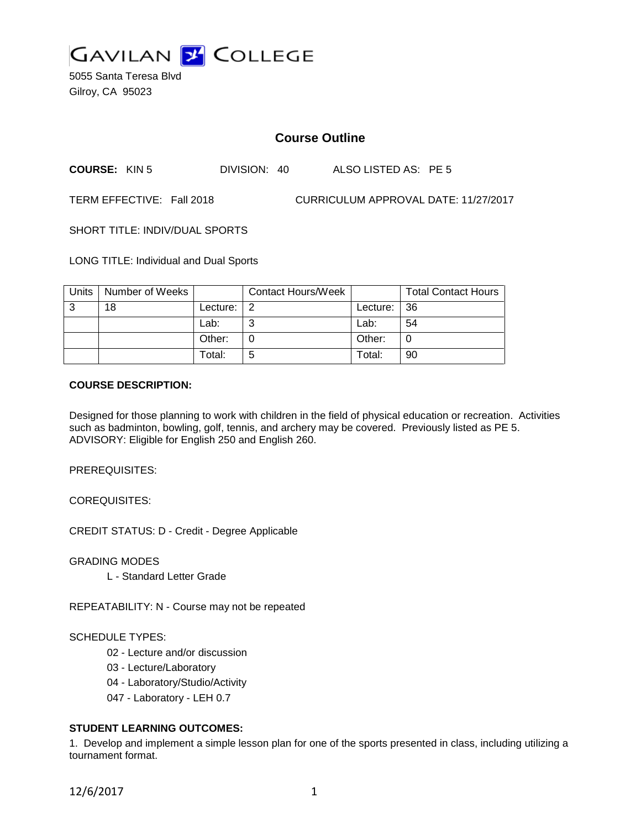

5055 Santa Teresa Blvd Gilroy, CA 95023

# **Course Outline**

**COURSE:** KIN 5 DIVISION: 40 ALSO LISTED AS: PE 5

TERM EFFECTIVE: Fall 2018 CURRICULUM APPROVAL DATE: 11/27/2017

SHORT TITLE: INDIV/DUAL SPORTS

LONG TITLE: Individual and Dual Sports

| Units | Number of Weeks |          | <b>Contact Hours/Week</b> |          | <b>Total Contact Hours</b> |
|-------|-----------------|----------|---------------------------|----------|----------------------------|
| ູ     | 18              | Lecture: | 2                         | Lecture: | -36                        |
|       |                 | Lab:     |                           | Lab:     | 54                         |
|       |                 | Other:   |                           | Other:   | 0                          |
|       |                 | Total:   | 5                         | Total:   | 90                         |

#### **COURSE DESCRIPTION:**

Designed for those planning to work with children in the field of physical education or recreation. Activities such as badminton, bowling, golf, tennis, and archery may be covered. Previously listed as PE 5. ADVISORY: Eligible for English 250 and English 260.

PREREQUISITES:

COREQUISITES:

CREDIT STATUS: D - Credit - Degree Applicable

GRADING MODES

L - Standard Letter Grade

REPEATABILITY: N - Course may not be repeated

#### SCHEDULE TYPES:

- 02 Lecture and/or discussion
- 03 Lecture/Laboratory
- 04 Laboratory/Studio/Activity
- 047 Laboratory LEH 0.7

### **STUDENT LEARNING OUTCOMES:**

1. Develop and implement a simple lesson plan for one of the sports presented in class, including utilizing a tournament format.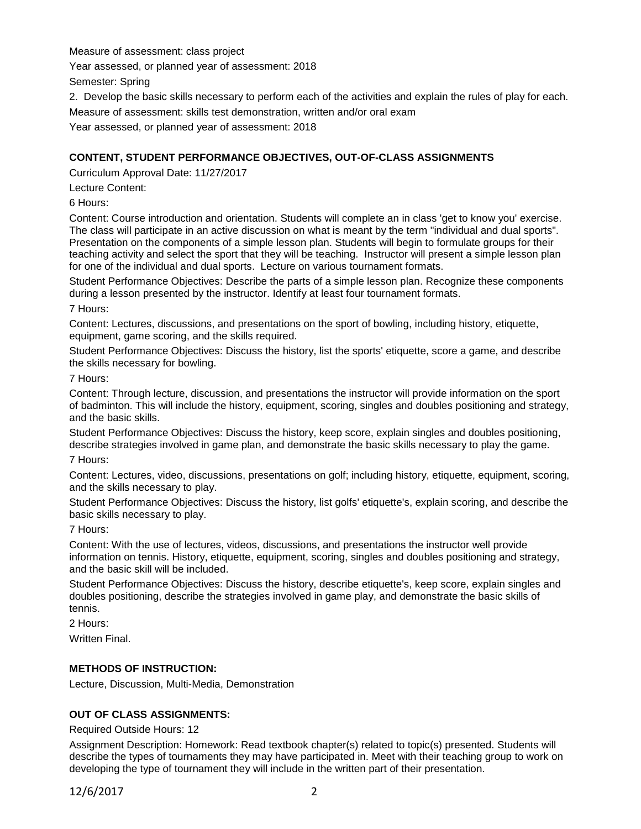Measure of assessment: class project

Year assessed, or planned year of assessment: 2018

Semester: Spring

2. Develop the basic skills necessary to perform each of the activities and explain the rules of play for each.

Measure of assessment: skills test demonstration, written and/or oral exam

Year assessed, or planned year of assessment: 2018

### **CONTENT, STUDENT PERFORMANCE OBJECTIVES, OUT-OF-CLASS ASSIGNMENTS**

Curriculum Approval Date: 11/27/2017

Lecture Content:

6 Hours:

Content: Course introduction and orientation. Students will complete an in class 'get to know you' exercise. The class will participate in an active discussion on what is meant by the term "individual and dual sports". Presentation on the components of a simple lesson plan. Students will begin to formulate groups for their teaching activity and select the sport that they will be teaching. Instructor will present a simple lesson plan for one of the individual and dual sports. Lecture on various tournament formats.

Student Performance Objectives: Describe the parts of a simple lesson plan. Recognize these components during a lesson presented by the instructor. Identify at least four tournament formats.

7 Hours:

Content: Lectures, discussions, and presentations on the sport of bowling, including history, etiquette, equipment, game scoring, and the skills required.

Student Performance Objectives: Discuss the history, list the sports' etiquette, score a game, and describe the skills necessary for bowling.

7 Hours:

Content: Through lecture, discussion, and presentations the instructor will provide information on the sport of badminton. This will include the history, equipment, scoring, singles and doubles positioning and strategy, and the basic skills.

Student Performance Objectives: Discuss the history, keep score, explain singles and doubles positioning, describe strategies involved in game plan, and demonstrate the basic skills necessary to play the game.

7 Hours:

Content: Lectures, video, discussions, presentations on golf; including history, etiquette, equipment, scoring, and the skills necessary to play.

Student Performance Objectives: Discuss the history, list golfs' etiquette's, explain scoring, and describe the basic skills necessary to play.

7 Hours:

Content: With the use of lectures, videos, discussions, and presentations the instructor well provide information on tennis. History, etiquette, equipment, scoring, singles and doubles positioning and strategy, and the basic skill will be included.

Student Performance Objectives: Discuss the history, describe etiquette's, keep score, explain singles and doubles positioning, describe the strategies involved in game play, and demonstrate the basic skills of tennis.

2 Hours:

Written Final.

## **METHODS OF INSTRUCTION:**

Lecture, Discussion, Multi-Media, Demonstration

#### **OUT OF CLASS ASSIGNMENTS:**

Required Outside Hours: 12

Assignment Description: Homework: Read textbook chapter(s) related to topic(s) presented. Students will describe the types of tournaments they may have participated in. Meet with their teaching group to work on developing the type of tournament they will include in the written part of their presentation.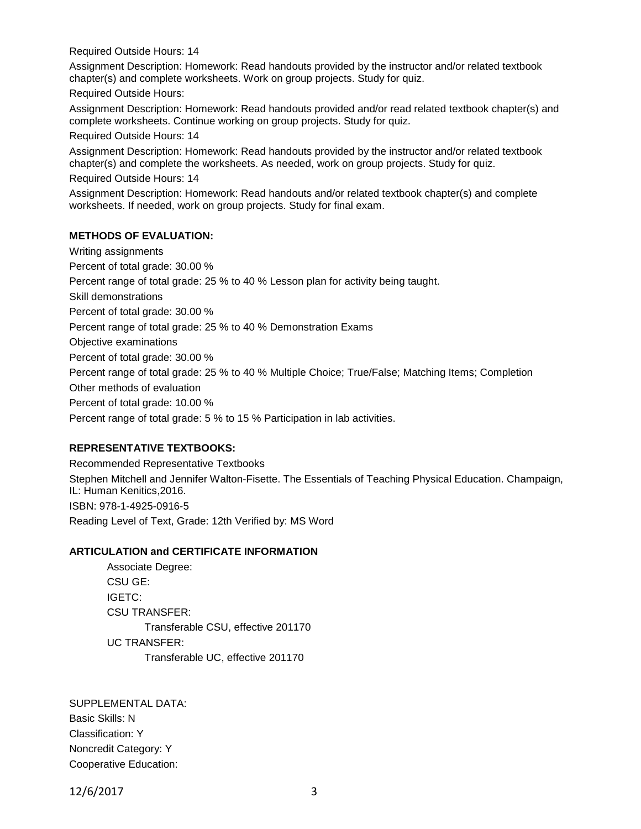Required Outside Hours: 14

Assignment Description: Homework: Read handouts provided by the instructor and/or related textbook chapter(s) and complete worksheets. Work on group projects. Study for quiz.

Required Outside Hours:

Assignment Description: Homework: Read handouts provided and/or read related textbook chapter(s) and complete worksheets. Continue working on group projects. Study for quiz.

Required Outside Hours: 14

Assignment Description: Homework: Read handouts provided by the instructor and/or related textbook chapter(s) and complete the worksheets. As needed, work on group projects. Study for quiz.

Required Outside Hours: 14

Assignment Description: Homework: Read handouts and/or related textbook chapter(s) and complete worksheets. If needed, work on group projects. Study for final exam.

### **METHODS OF EVALUATION:**

Writing assignments Percent of total grade: 30.00 % Percent range of total grade: 25 % to 40 % Lesson plan for activity being taught. Skill demonstrations Percent of total grade: 30.00 % Percent range of total grade: 25 % to 40 % Demonstration Exams Objective examinations Percent of total grade: 30.00 % Percent range of total grade: 25 % to 40 % Multiple Choice; True/False; Matching Items; Completion Other methods of evaluation Percent of total grade: 10.00 % Percent range of total grade: 5 % to 15 % Participation in lab activities.

## **REPRESENTATIVE TEXTBOOKS:**

Recommended Representative Textbooks Stephen Mitchell and Jennifer Walton-Fisette. The Essentials of Teaching Physical Education. Champaign, IL: Human Kenitics,2016. ISBN: 978-1-4925-0916-5 Reading Level of Text, Grade: 12th Verified by: MS Word

## **ARTICULATION and CERTIFICATE INFORMATION**

Associate Degree: CSU GE: IGETC: CSU TRANSFER: Transferable CSU, effective 201170 UC TRANSFER: Transferable UC, effective 201170

SUPPLEMENTAL DATA: Basic Skills: N Classification: Y Noncredit Category: Y Cooperative Education:

12/6/2017 3